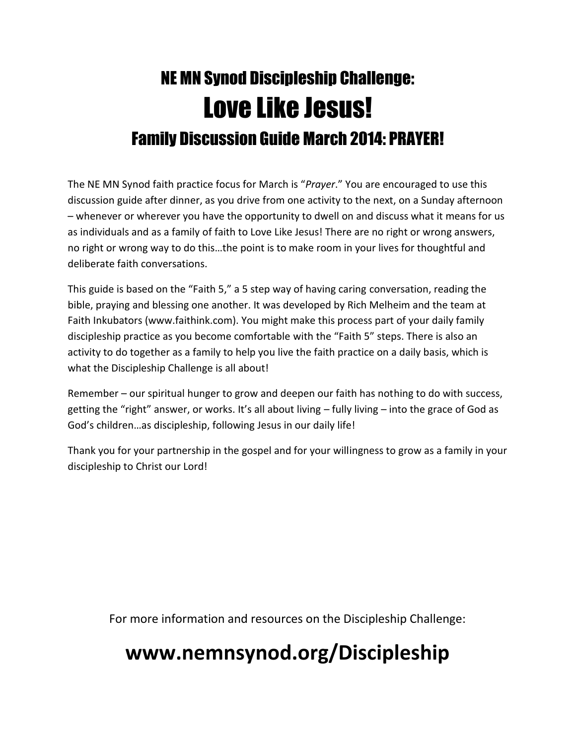# NE MN Synod Discipleship Challenge: Love Like Jesus! Family Discussion Guide March 2014: PRAYER!

The NE MN Synod faith practice focus for March is "*Prayer*." You are encouraged to use this discussion guide after dinner, as you drive from one activity to the next, on a Sunday afternoon – whenever or wherever you have the opportunity to dwell on and discuss what it means for us as individuals and as a family of faith to Love Like Jesus! There are no right or wrong answers, no right or wrong way to do this…the point is to make room in your lives for thoughtful and deliberate faith conversations.

This guide is based on the "Faith 5," a 5 step way of having caring conversation, reading the bible, praying and blessing one another. It was developed by Rich Melheim and the team at Faith Inkubators (www.faithink.com). You might make this process part of your daily family discipleship practice as you become comfortable with the "Faith 5" steps. There is also an activity to do together as a family to help you live the faith practice on a daily basis, which is what the Discipleship Challenge is all about!

Remember – our spiritual hunger to grow and deepen our faith has nothing to do with success, getting the "right" answer, or works. It's all about living – fully living – into the grace of God as God's children…as discipleship, following Jesus in our daily life!

Thank you for your partnership in the gospel and for your willingness to grow as a family in your discipleship to Christ our Lord!

For more information and resources on the Discipleship Challenge:

## **www.nemnsynod.org/Discipleship**